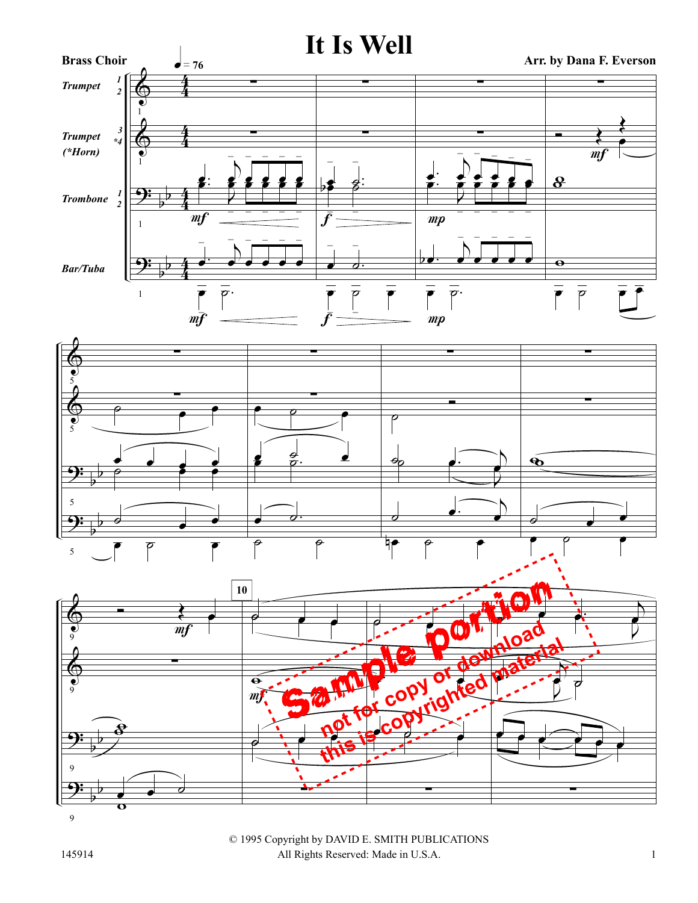

145914 All Rights Reserved: Made in U.S.A. 1 © 1995 Copyright by DAVID E. SMITH PUBLICATIONS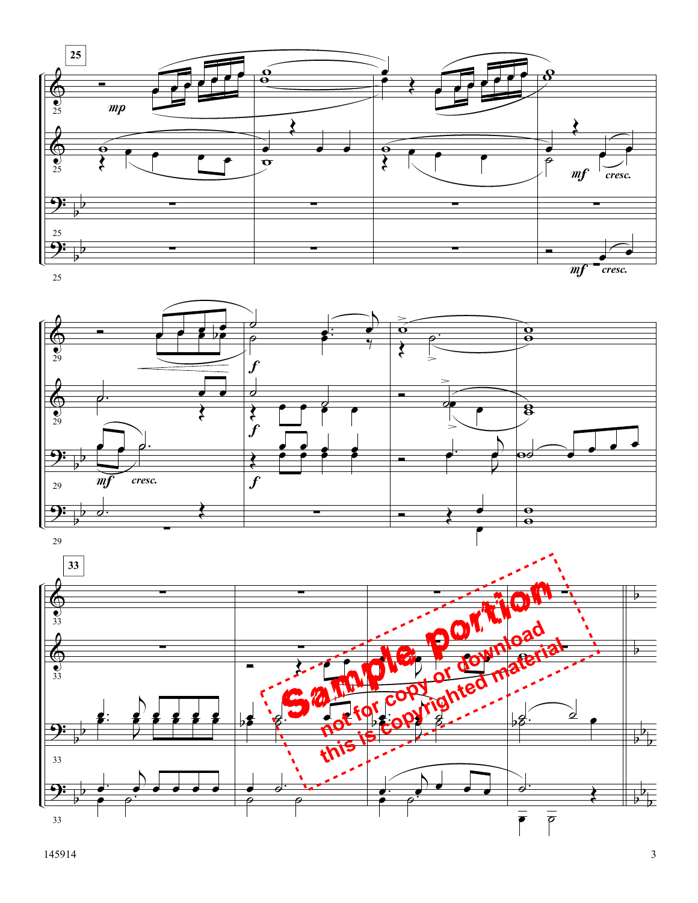

25





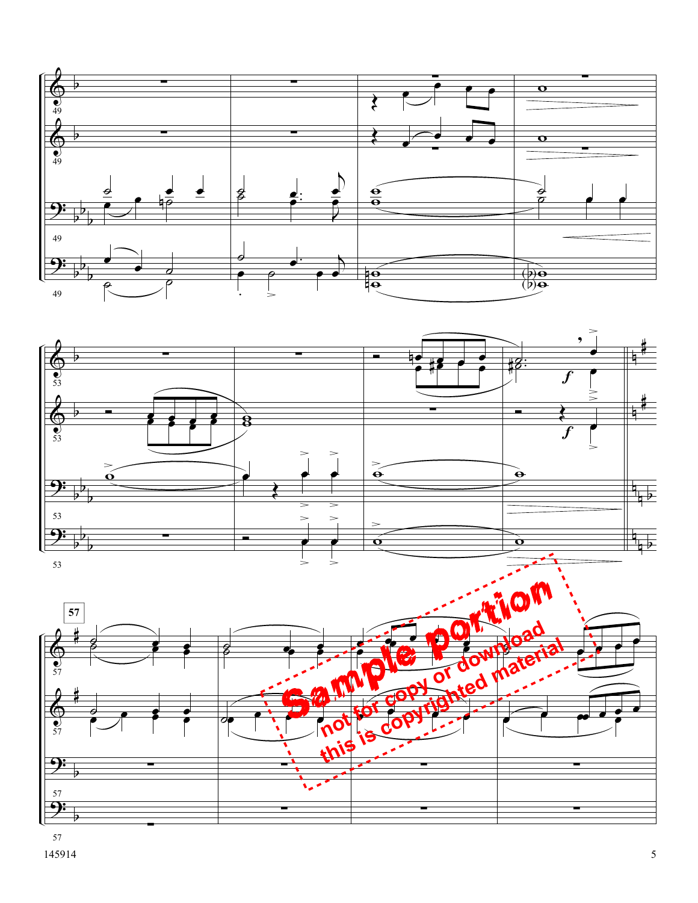





57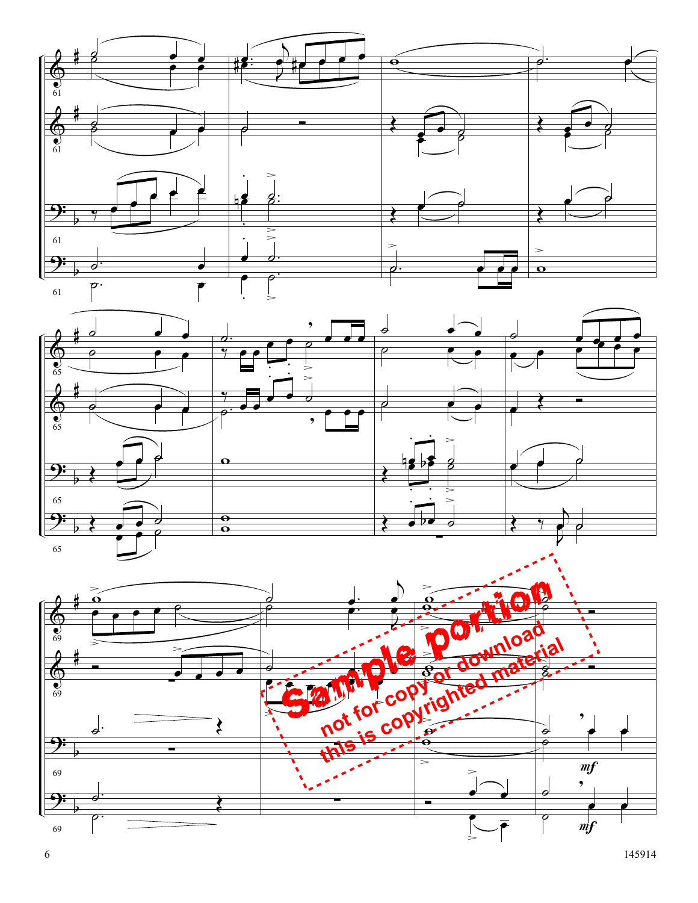